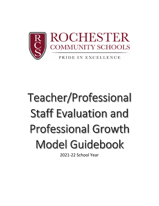

# Teacher/Professional Staff Evaluation and **Professional Growth** Model Guidebook

2021-22 School Year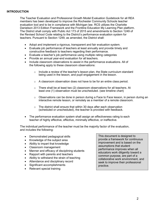The Teacher Evaluation and Professional Growth Model Evaluation Guidebook for all REA members has been developed to improve the Rochester Community Schools teacher evaluation tool and to be in compliance with Michigan law. RCS utilizes the Charlotte Danielson 2013 Edition Framework and the Frontline Education My Learning Plan platform. The District shall comply with Public Act 173 of 2015 and amendments to Section 1249 of the Revised School Code relating to the District's performance evaluation system for teachers. Pursuant to Section 1249, as amended, the District shall:

- Adopt and implement a rigorous, transparent and fair evaluation system.
- Evaluate job performance of teachers at least annually and provide timely and constructive feedback to teachers regarding their performance.
- Evaluate a teacher's job performance using multiple rating categories
- Provide an annual year-end evaluation for all teachers.
- Include classroom observations to assist in the performance evaluations. All of the following apply to these classroom observations:
	- $\circ$  Include a review of the teacher's lesson plan, the State curriculum standard being used in the lesson, and pupil engagement in the lesson.
	- o A classroom observation does not have to be for an entire class period.
	- $\circ$  There shall be at least two (2) classroom observations for all teachers. At least one (1) observation must be unscheduled. (see timeline chart)
	- $\circ$  Observations can be done in person during a Face to Face lesson, in person during an interactive remote lesson, or remotely as a member of a remote classroom.
	- $\circ$  The district shall ensure that within 30 days after each observation (scheduled or unscheduled), the teacher is provided with feedback.
- The performance evaluation system shall assign an effectiveness rating to each teacher of highly effective, effective, minimally effective, or ineffective.

The individual performance of the teacher must be the majority factor of the evaluation, and includes the following:

- Demonstrated pedagogical skills
- Knowledge of the subject area
- Ability to impart that knowledge
- Classroom management
- Manner and efficacy of disciplining students
- Rapport with parents and teachers
- Ability to withstand the strain of teaching
- Attendance and disciplinary record
- Significant accomplishments
- Relevant special training

This document is designed to provide a framework for continuous improvement and is based on the assumptions that student performance improves when all educators work diligently toward a common purpose, are part of a collaborative work environment, and seek to improve their professional practice.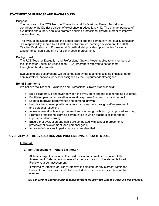## **STATEMENT OF PURPOSE AND BACKGROUND**

### **Purpose**

The purpose of the RCS Teacher Evaluation and Professional Growth Model is to contribute to the District's pursuit of excellence in education, K-12. The primary purpose of evaluation and supervision is to promote ongoing professional growth in order to improve student learning.

The evaluation system assures the School Board and the community that quality education is a responsibility shared by all staff. In a collaborative learning environment, the RCS Teacher Evaluation and Professional Growth Model provides opportunities for every teacher to set goals and strive for continuous improvement.

### **Background**

The RCS Teacher Evaluation and Professional Growth Model applies to all members of the Rochester Education Association (REA) (members referred to as teachers throughout the document).

Evaluations and observations will be conducted by the teacher's building principal, other administrators, and/or supervisors assigned by the Superintendent/designee.

### **Belief Statements**

We believe the Teacher Evaluation and Professional Growth Model should:

- Be a collaborative endeavor between the evaluators and the teacher being evaluated.
- Facilitate open communication in an atmosphere of mutual trust and respect.
- Lead to improved performance and personal growth.
- Help teachers develop skills as autonomous learners through self-assessment and personal reflection.
- Increase overall school improvement and student growth through improved teaching.
- Promote professional learning communities in which teachers collaborate to improve student learning.
- Ensure that evaluation and goals are connected with school improvement, professional development, and personal goals.
- Improve deficiencies in performance when identified.

## **OVERVIEW OF THE EVALUATION AND PROFESSIONAL GROWTH MODEL**

### **In the fall:**

### **1. Self-Assessment – Where am I now?**

All teachers/professional staff should review and complete the Initial Self-Assessment. Determine your level of expertise in each of the elements listed. Review your self-assessment.

If Minimally Effective or Highly Effective is selected for any element within the Rubric, then a rationale needs to be included in the comments section for that element.

*You can refer to your final self-assessment from the previous year to streamline this process.*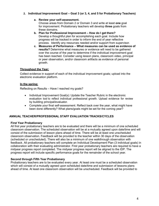## **2. Individual Improvement Goal – Goal 3 (or 3, 4, and 5 for Probationary Teachers)**

#### **a. Review your self-assessment.**

Choose areas from Domain 2 or Domain 3 and write at least **one** goal for improvement. Probationary teachers will develop **three** goals from these domains.

- **b. Plan for Professional Improvement – How do I get there?** Develop a thoughtful plan for accomplishing each goal. Include how progress will be tracked in order to inform the end of year reflective process. Identify any resources needed and/or support from supervisor.
- **c. Measures of Performance – What measures can be used as evidence of results?** Determine what measures or evidence will need to be gathered over the course of the year to determine if the individual improvement goal has been reached. Consider using lesson plans, classroom video, principal or peer observation, and/or classroom artifacts as evidence of personal growth.

### **Throughout the Year:**

Collect evidence in support of each of the individual improvement goals; upload into the electronic evaluation platform.

#### **In the spring:**

Reflecting on Results – Have I reached my goals?

- Individual Improvement Goal(s): Update the Teacher Rubric in the electronic evaluation tool to reflect individual professional growth. Upload evidence for review by building principal/evaluator.
- Complete your final self-assessment. Reflect back over the year, what might have been done differently? What plans/goals might be set for the coming year?

### **ANNUAL TEACHER/PROFESSIONAL STAFF EVALUATION TRACKS/CYCLES**

### **First Year Probationary**

All first year probationary teachers are to be evaluated and there will be a minimum of one scheduled classroom observation. The scheduled observation will be at a mutually agreed upon date/time and will consist of the submission of lesson plans ahead of time. There will be at least one unscheduled classroom observation. Feedback will be provided to the teacher within 30 days of the observation (scheduled or unscheduled). There will also be a minimum of one walkthrough observation with feedback. All probationary teachers will complete an Individual Development Plan (3 individual goals) in collaboration with their evaluating administrator. First year probationary teachers are required to have a midyear progress report completed. The midyear progress report will be aligned to the IDP. The progress report will include specific performance goals for the remainder of the school year.

### **Second through Fifth Year Probationary**

Probationary teachers are to be evaluated every year. At least one must be a scheduled observation which will consist of a mutually agreed upon scheduled date/time and submission of lessons plans ahead of time. At least one classroom observation will be unscheduled. Feedback will be provided to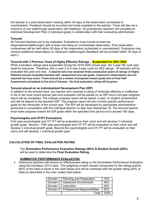the teacher in a post-observation meeting within 30 days of the observation (scheduled or unscheduled). Feedback should be recorded and made available to the teacher. There will also be a minimum of one walkthrough observation with feedback. All probationary teachers will complete an Individual Development Plan (3 individual goals) in collaboration with their evaluating administrator.

## **Tenured**

All Tenured teachers are to be evaluated. Evaluations must include at least two observations/walkthroughs with at least one being an unscheduled observation. Post observation conferences will be held within 30 days of the observation (scheduled or unscheduled). Evaluators may conduct additional observations or classroom walkthroughs (feedback will be provided within 30 days of each.)

## **Tenured with 3 Previous Years of Highly Effective Ratings – Suspended for 2021-2022**

When evaluation ratings were suspended during the 2019-2020 school year, the 3 year HE cycle was reset for everyone. Therefore, this is year 2 of a new 3-year cycle for HE3 ratings. All teachers will be evaluated this year and next. A teacher who has received three consecutive years of ratings of Highly Effective should complete theinitial self- assessment and set goals. Classroom observations are not required but may occur. There should be a review of progress toward goals and a Final Self-Assessment completed at the end of theyear. No final evaluation rating will be given.

## **Tenured placed on an Individualized Development Plan (IDP)**

In addition to the tenured track, any teacher who received a rating of minimally effective or ineffective in his or her most recent annual year-end evaluation will be placed on an IDP and a mid-year progress report will be completed. The midyear progress report will be based, in part, on student achievement and will be aligned to the teachers IDP. The progress report will also include specific performance goals for the remainder of the school year. The IDP will be developed by appropriate administrative personnel in consultation with the individual teacher no later than September 30. The tenured teacher must make progress toward the IDP goals within the specified time period not to exceed 180 days.

## **Psychologists and OT/PT Evaluations**

First year psychologists and OT/ PT will be evaluated on their rubric and will develop 3 individual growth goals. Second – Fifth year psychologists and OT/ PT will be evaluated on their rubric and will develop 3 individual growth goals. Beyond-five psychologists and OT/ PT will be evaluated on their rubric and will develop 1 individual growth goal.

# **CALCULATION OF FINAL EVALUATION RATING**

The **Summative Performance Evaluation Ratings (60%) & Student Growth (40%)** will be used to determine the **Final Evaluation Rating.**

### **SUMMATIVE PERFORMANCE EVALUATION**

• Classroom teachers will receive an effectiveness rating on the Summative Performance Evaluation using the Danielson 2013 rubric. The weighting of each domain component for the ratings portion (60% of the total) is found in the chart below and will be combined with the growth rating (40% of total) as described in the color coded chart below.

|                        | Domain 1   Planning and Preparation      | 10%           |
|------------------------|------------------------------------------|---------------|
|                        | Domain 2 Classroom Environment           | 35%           |
| Domain 3   Instruction |                                          | 35%           |
|                        | Domain 4   Professional Responsibilities | 20%           |
|                        |                                          | Total:   100% |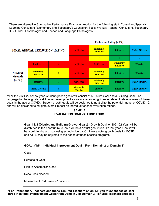There are alternative Summative Performance Evaluation rubrics for the following staff: Consultant/Specialist; Learning Consultant (Elementary and Secondary); Counselor; Social Worker; Teacher Consultant, Secondary ILS, OT/PT, Psychologist and Speech and Language Pathologists.

| <b>FINAL ANNUAL EVALUATION RATING</b> |                                      |                | <b>Evaluation Rating (60%)</b>       |                                      |                                      |                         |
|---------------------------------------|--------------------------------------|----------------|--------------------------------------|--------------------------------------|--------------------------------------|-------------------------|
|                                       |                                      |                | <b>Ineffective</b>                   | <b>Minimally</b><br><b>Effective</b> | <b>Effective</b>                     | <b>Highly Effective</b> |
|                                       |                                      |                | $\mathbf{1}$                         | $\overline{2}$                       | 3                                    | 4                       |
| <b>Student</b><br>Growth<br>$(40\%)$  | <b>Ineffective</b>                   | $\mathbf{1}$   | <b>Ineffective</b>                   | <b>Ineffective</b>                   | <b>Minimally</b><br><b>Effective</b> | <b>Effective</b>        |
|                                       | <b>Minimally</b><br><b>Effective</b> | $\overline{2}$ | <b>Ineffective</b>                   | <b>Minimally</b><br><b>Effective</b> | <b>Effective</b>                     | <b>Effective</b>        |
|                                       | <b>Effective</b>                     | 3              | <b>Ineffective</b>                   | <b>Minimally</b><br><b>Effective</b> | <b>Effective</b>                     | <b>Highly Effective</b> |
|                                       | <b>Highly Effective</b>              | 4              | <b>Minimally</b><br><b>Effective</b> | <b>Effective</b>                     | <b>Effective</b>                     | <b>Highly Effective</b> |

\*\*For the 2021-22 school year, student growth goals will consist of a District Goal and a Building Goal. The language for these goals is still under development as we are receiving guidance related to development of these goals in the age of COVID. Student growth goals will be designed to neutralize the potential impact of COVID-19, and will be designed to mitigate overall impact on individual teacher evaluation ratings.

## **SAMPLE EVALUATION GOAL-SETTING FORM**

**Goal 1 & 2 (District and Building Growth Goals) -** Growth Goal for 2021-22 Year will be distributed in the near future. (Goal 1will be a district goal much like last year, Goal 2 will be a building-based goal using school-wide data). Please note, growth goals for ECSE and ATPS may be adjusted to the needs of those specific programs.

**GOAL 3/4/5 – Individual Improvement Goal – From Domain 2 or Domain 3\***

Goal:

Purpose of Goal:

Plan to Accomplish Goal:

Resources Needed:

Measures of Performance/Evidence:

**\*For Probationary Teachers and those Tenured Teachers on an IDP you must choose at least three Individual Improvement Goals from Domain 2 or Domain 3. Tenured Teachers choose a**